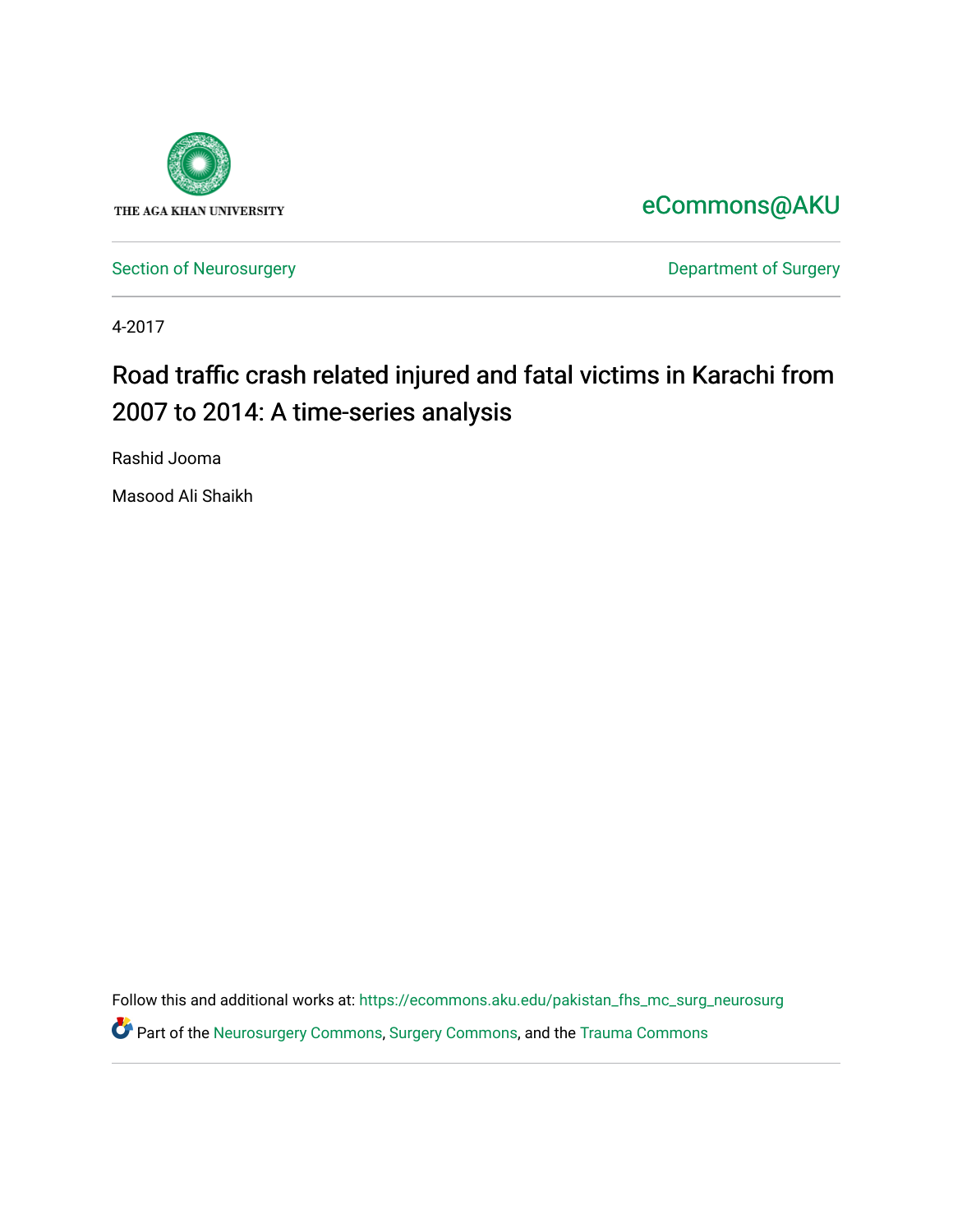

[eCommons@AKU](https://ecommons.aku.edu/) 

[Section of Neurosurgery](https://ecommons.aku.edu/pakistan_fhs_mc_surg_neurosurg) **Department of Surgery** Department of Surgery

4-2017

# Road traffic crash related injured and fatal victims in Karachi from 2007 to 2014: A time-series analysis

Rashid Jooma

Masood Ali Shaikh

Follow this and additional works at: [https://ecommons.aku.edu/pakistan\\_fhs\\_mc\\_surg\\_neurosurg](https://ecommons.aku.edu/pakistan_fhs_mc_surg_neurosurg?utm_source=ecommons.aku.edu%2Fpakistan_fhs_mc_surg_neurosurg%2F257&utm_medium=PDF&utm_campaign=PDFCoverPages)  Part of the [Neurosurgery Commons,](http://network.bepress.com/hgg/discipline/1428?utm_source=ecommons.aku.edu%2Fpakistan_fhs_mc_surg_neurosurg%2F257&utm_medium=PDF&utm_campaign=PDFCoverPages) [Surgery Commons,](http://network.bepress.com/hgg/discipline/706?utm_source=ecommons.aku.edu%2Fpakistan_fhs_mc_surg_neurosurg%2F257&utm_medium=PDF&utm_campaign=PDFCoverPages) and the [Trauma Commons](http://network.bepress.com/hgg/discipline/1240?utm_source=ecommons.aku.edu%2Fpakistan_fhs_mc_surg_neurosurg%2F257&utm_medium=PDF&utm_campaign=PDFCoverPages)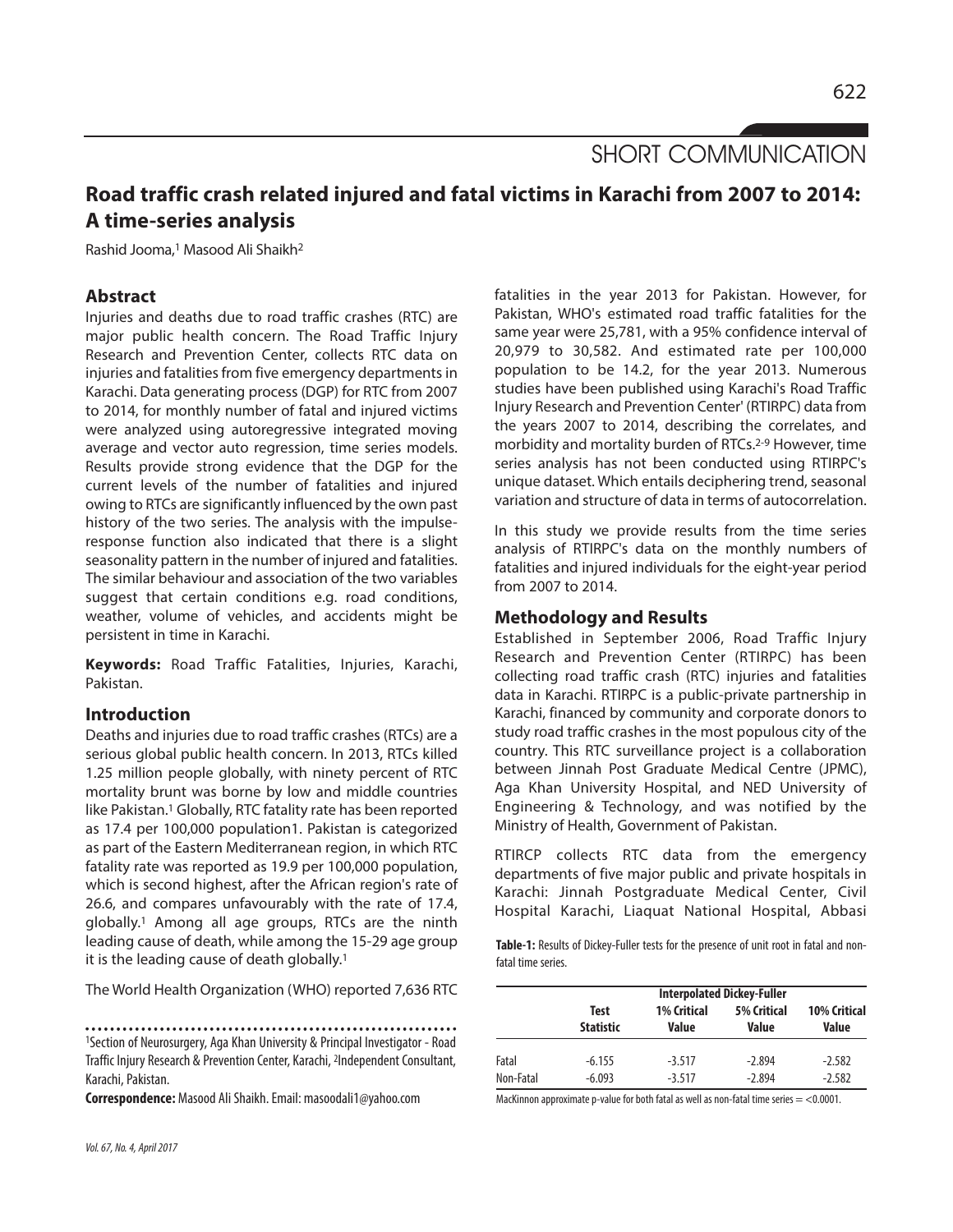SHORT COMMUNICATION

# **Road traffic crash related injured and fatal victims in Karachi from 2007 to 2014: A time-series analysis**

Rashid Jooma, <sup>1</sup> Masood Ali Shaikh2

# **Abstract**

Injuries and deaths due to road traffic crashes (RTC) are major public health concern. The Road Traffic Injury Research and Prevention Center, collects RTC data on injuries and fatalities from five emergency departments in Karachi. Data generating process (DGP) for RTC from 2007 to 2014, for monthly number of fatal and injured victims were analyzed using autoregressive integrated moving average and vector auto regression, time series models. Results provide strong evidence that the DGP for the current levels of the number of fatalities and injured owing to RTCs are significantly influenced by the own past history of the two series. The analysis with the impulseresponse function also indicated that there is a slight seasonality pattern in the number of injured and fatalities. The similar behaviour and association of the two variables suggest that certain conditions e.g. road conditions, weather, volume of vehicles, and accidents might be persistent in time in Karachi.

**Keywords:** Road Traffic Fatalities, Injuries, Karachi, Pakistan.

## **Introduction**

Deaths and injuries due to road traffic crashes (RTCs) are a serious global public health concern. In 2013, RTCs killed 1.25 million people globally, with ninety percent of RTC mortality brunt was borne by low and middle countries like Pakistan. <sup>1</sup> Globally, RTC fatality rate has been reported as 17.4 per 100,000 population1. Pakistan is categorized as part of the Eastern Mediterranean region, in which RTC fatality rate was reported as 19.9 per 100,000 population, which is second highest, after the African region's rate of 26.6, and compares unfavourably with the rate of 17.4, globally. <sup>1</sup> Among all age groups, RTCs are the ninth leading cause of death, while among the 15-29 age group it is the leading cause of death globally. 1

The World Health Organization (WHO) reported 7,636 RTC

1Section of Neurosurgery, Aga Khan University & Principal Investigator - Road Traffic Injury Research & Prevention Center, Karachi, <sup>2</sup>Independent Consultant, Karachi, Pakistan.

**Correspondence:** Masood AliShaikh.Email: masoodali1@yahoo.com

*Vol.67, No.4, April2017*

fatalities in the year 2013 for Pakistan. However, for Pakistan, WHO's estimated road traffic fatalities for the same year were 25,781, with a 95% confidence interval of 20,979 to 30,582. And estimated rate per 100,000 population to be 14.2, for the year 2013. Numerous studies have been published using Karachi's Road Traffic Injury Research and Prevention Center' (RTIRPC) data from the years 2007 to 2014, describing the correlates, and morbidity and mortality burden of RTCs. 2-9 However, time series analysis has not been conducted using RTIRPC's unique dataset. Which entails deciphering trend, seasonal variation and structure of data in terms of autocorrelation.

In this study we provide results from the time series analysis of RTIRPC's data on the monthly numbers of fatalities and injured individuals for the eight-year period from 2007 to 2014.

### **Methodology and Results**

Established in September 2006, Road Traffic Injury Research and Prevention Center (RTIRPC) has been collecting road traffic crash (RTC) injuries and fatalities data in Karachi. RTIRPC is a public-private partnership in Karachi, financed by community and corporate donors to study road traffic crashes in the most populous city of the country. This RTC surveillance project is a collaboration between Jinnah Post Graduate Medical Centre (JPMC), Aga Khan University Hospital, and NED University of Engineering & Technology, and was notified by the Ministry of Health, Government of Pakistan.

RTIRCP collects RTC data from the emergency departments of five major public and private hospitals in Karachi: Jinnah Postgraduate Medical Center, Civil Hospital Karachi, Liaquat National Hospital, Abbasi

**Table-1:** Results of Dickey-Fuller tests for the presence of unit root in fatal and nonfatal time series.

|           | <b>Interpolated Dickey-Fuller</b> |                             |                             |                       |  |  |  |
|-----------|-----------------------------------|-----------------------------|-----------------------------|-----------------------|--|--|--|
|           | <b>Test</b><br><b>Statistic</b>   | <b>1% Critical</b><br>Value | <b>5% Critical</b><br>Value | 10% Critical<br>Value |  |  |  |
| Fatal     | $-6.155$                          | $-3.517$                    | $-2.894$                    | $-2.582$              |  |  |  |
| Non-Fatal | $-6.093$                          | $-3.517$                    | $-2.894$                    | $-2.582$              |  |  |  |

MacKinnon approximate p-value for both fatal as well as non-fatal time series  $=$  <0.0001.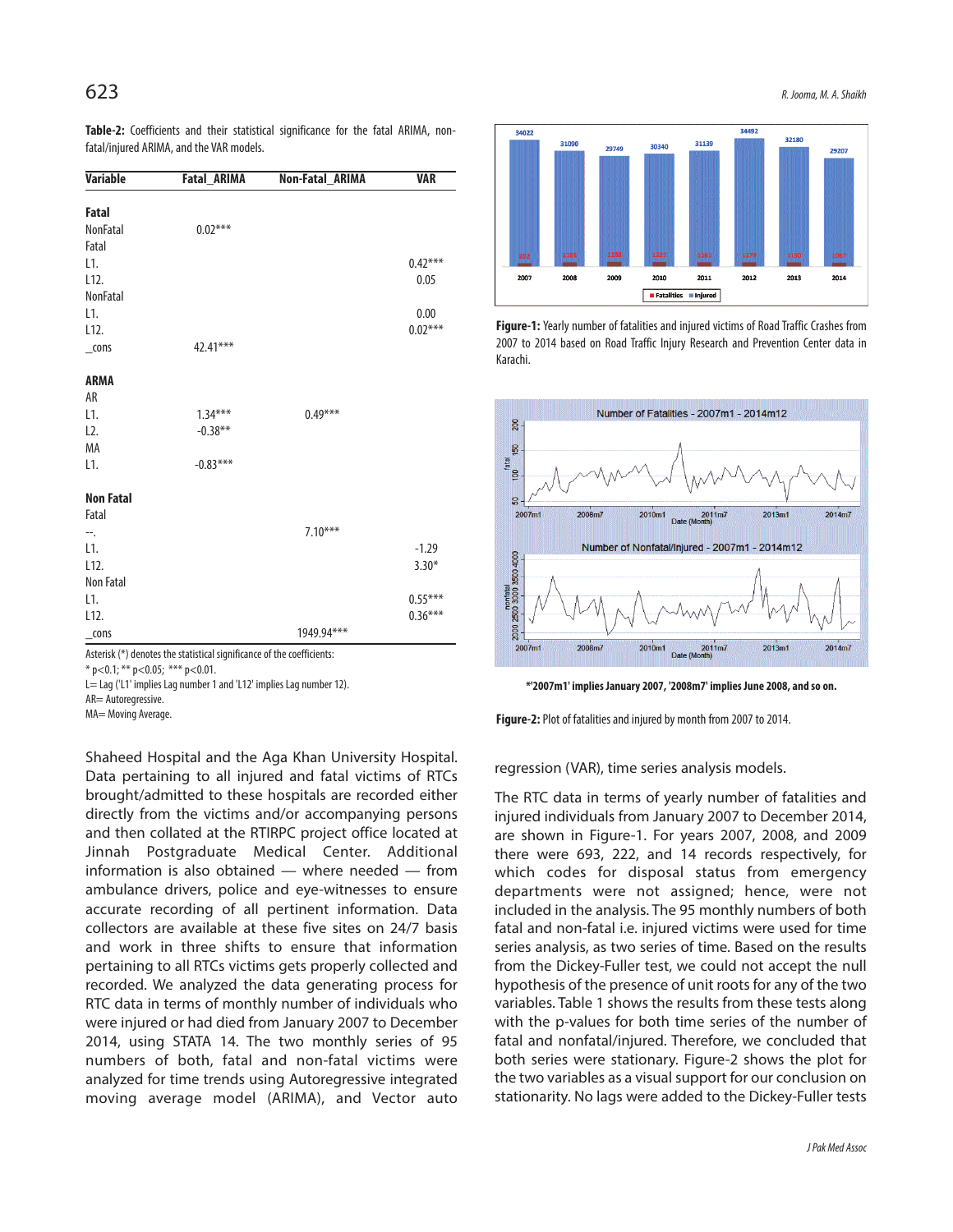**Table-2:** Coefficients and their statistical significance for the fatal ARIMA, nonfatal/injured ARIMA, and the VAR models.

| <b>Variable</b>   | <b>Fatal ARIMA</b> | Non-Fatal_ARIMA | <b>VAR</b> |
|-------------------|--------------------|-----------------|------------|
| Fatal             |                    |                 |            |
| <b>NonFatal</b>   | $0.02***$          |                 |            |
| Fatal             |                    |                 |            |
| L1.               |                    |                 | $0.42***$  |
| L12.              |                    |                 | 0.05       |
| <b>NonFatal</b>   |                    |                 |            |
| L1.               |                    |                 | 0.00       |
| L <sub>12</sub> . |                    |                 | $0.02***$  |
| $_{\rm cons}$     | 42.41***           |                 |            |
| <b>ARMA</b>       |                    |                 |            |
| AR                |                    |                 |            |
| L1.               | $1.34***$          | $0.49***$       |            |
| L2.               | $-0.38**$          |                 |            |
| MA                |                    |                 |            |
| L1.               | $-0.83***$         |                 |            |
| <b>Non Fatal</b>  |                    |                 |            |
| Fatal             |                    |                 |            |
| ∸∹.               |                    | $7.10***$       |            |
| L1.               |                    |                 | $-1.29$    |
| L12.              |                    |                 | $3.30*$    |
| Non Fatal         |                    |                 |            |
| L1.               |                    |                 | $0.55***$  |
| L12.              |                    |                 | $0.36***$  |
| cons              |                    | 1949.94***      |            |

Asterisk (\*) denotes the statistical significance of the coefficients:

 $*$  p<0.1; \*\* p<0.05; \*\*\* p<0.01.

L= Lag ('L1' implies Lag number 1 and 'L12' implies Lag number 12).

AR= Autoregressive.

MA= Moving Average.

Shaheed Hospital and the Aga Khan University Hospital. Data pertaining to all injured and fatal victims of RTCs brought/admitted to these hospitals are recorded either directly from the victims and/or accompanying persons and then collated at the RTIRPC project office located at Jinnah Postgraduate Medical Center. Additional information is also obtained — where needed — from ambulance drivers, police and eye-witnesses to ensure accurate recording of all pertinent information. Data collectors are available at these five sites on 24/7 basis and work in three shifts to ensure that information pertaining to all RTCs victims gets properly collected and recorded. We analyzed the data generating process for RTC data in terms of monthly number of individuals who were injured or had died from January 2007 to December 2014, using STATA 14. The two monthly series of 95 numbers of both, fatal and non-fatal victims were analyzed for time trends using Autoregressive integrated moving average model (ARIMA), and Vector auto



**Figure-1:** Yearly number of fatalities and injured victims of Road Traffic Crashes from 2007 to 2014 based on Road Traffic Injury Research and Prevention Center data in Karachi.



**\*'2007m1' implies January 2007, '2008m7' implies June 2008, and so on.**

Figure-2: Plot of fatalities and injured by month from 2007 to 2014.

#### regression (VAR), time series analysis models.

The RTC data in terms of yearly number of fatalities and injured individuals from January 2007 to December 2014, are shown in Figure-1. For years 2007, 2008, and 2009 there were 693, 222, and 14 records respectively, for which codes for disposal status from emergency departments were not assigned; hence, were not included in the analysis. The 95 monthly numbers of both fatal and non-fatal i.e. injured victims were used for time series analysis, as two series of time. Based on the results from the Dickey-Fuller test, we could not accept the null hypothesis of the presence of unit roots for any of the two variables. Table 1 shows the results from these tests along with the p-values for both time series of the number of fatal and nonfatal/injured. Therefore, we concluded that both series were stationary. Figure-2 shows the plot for the two variables as a visual support for our conclusion on stationarity. No lags were added to the Dickey-Fuller tests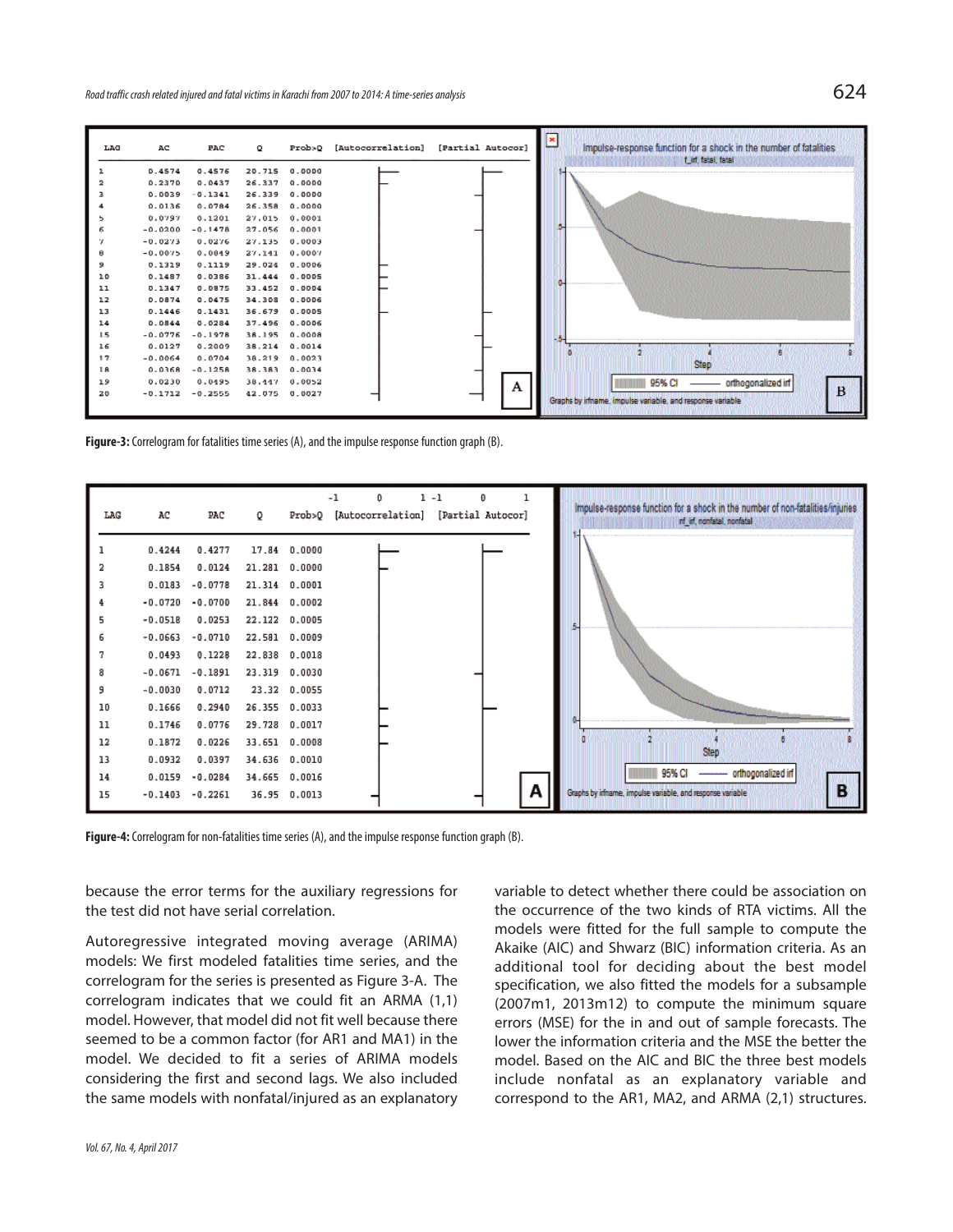| LAG | AC        | PAC       | ۰             | Prob>Q        | [Autocorrelation] | [Partial Autocor] | $\mathbf{z}$<br>Impulse-response function for a shock in the number of fatalities<br>t int, fatal, fatal |
|-----|-----------|-----------|---------------|---------------|-------------------|-------------------|----------------------------------------------------------------------------------------------------------|
|     | 0.4574    | 0.4576    | 20.715 0.0000 |               |                   |                   |                                                                                                          |
| 2   | 0.2370    | 0.0437    | 26.337        | 0.0000        |                   |                   |                                                                                                          |
| з   | 0.0039    | $-0.1341$ | 26.339 0.0000 |               |                   |                   |                                                                                                          |
|     | 0.0136    | 0.0784    | 26.358        | 0.0000        |                   |                   |                                                                                                          |
| 5   | 0.0797    | 0.1201    | 27,015        | 0.0001        |                   |                   |                                                                                                          |
| 6   | $-0.0200$ | $-0.1478$ | 27.056        | 0.0001        |                   |                   |                                                                                                          |
| 7   | $-0.0273$ | 0.0276    | 27.135        | 0.0003        |                   |                   |                                                                                                          |
| в   | $-0.0075$ | 0.0049    | 27,141        | 0.0007        |                   |                   |                                                                                                          |
| э   | 0.1319    | 0.1119    | 29.024 0.0006 |               |                   |                   |                                                                                                          |
| 10  | 0.1487    | 0.0386    |               | 31.444 0.0005 |                   |                   |                                                                                                          |
| 11  | 0.1347    | 0.0875    |               | 33.452 0.0004 |                   |                   |                                                                                                          |
| 12  | 0.0874    | 0.0475    | 34.308 0.0006 |               |                   |                   |                                                                                                          |
| 13  | 0.1446    | 0.1431    | 36.679 0.0005 |               |                   |                   |                                                                                                          |
| 14  | 0.0844    | 0.0284    | 37.496 0.0006 |               |                   |                   |                                                                                                          |
| 15  | $-0.0776$ | $-0.1978$ | 38.195 0.0008 |               |                   |                   |                                                                                                          |
| 16  | 0.0127    | 0.2009    | 38.214 0.0014 |               |                   |                   |                                                                                                          |
| 17  | $-0.0064$ | 0.0704    |               | 38.219 0.0023 |                   |                   |                                                                                                          |
| 18  | 0.0368    | $-0.1258$ |               | 38.383 0.0034 |                   |                   | <b>Step</b>                                                                                              |
| 19  | 0.0230    | 0.0195    |               | 38.447 0.0052 |                   | A                 | 95% CI<br>orthogonalized inf                                                                             |
| 20  | $-0.1712$ | $-0.2555$ | 42.075 0.0027 |               |                   |                   | $\bf{B}$                                                                                                 |
|     |           |           |               |               |                   |                   | Graphs by irfname, impulse variable, and response variable                                               |

Figure-3: Correlogram for fatalities time series (A), and the impulse response function graph (B).



Figure-4: Correlogram for non-fatalities time series (A), and the impulse response function graph (B).

because the error terms for the auxiliary regressions for the test did not have serial correlation.

Autoregressive integrated moving average (ARIMA) models: We first modeled fatalities time series, and the correlogram for the series is presented as Figure 3-A. The correlogram indicates that we could fit an ARMA (1,1) model. However, that model did not fit well because there seemed to be a common factor (for AR1 and MA1) in the model. We decided to fit a series of ARIMA models considering the first and second lags. We also included the same models with nonfatal/injured as an explanatory

variable to detect whether there could be association on the occurrence of the two kinds of RTA victims. All the models were fitted for the full sample to compute the Akaike (AIC) and Shwarz (BIC) information criteria. As an additional tool for deciding about the best model specification, we also fitted the models for a subsample (2007m1, 2013m12) to compute the minimum square errors (MSE) for the in and out of sample forecasts. The lower the information criteria and the MSE the better the model. Based on the AIC and BIC the three best models include nonfatal as an explanatory variable and correspond to the AR1, MA2, and ARMA (2,1) structures.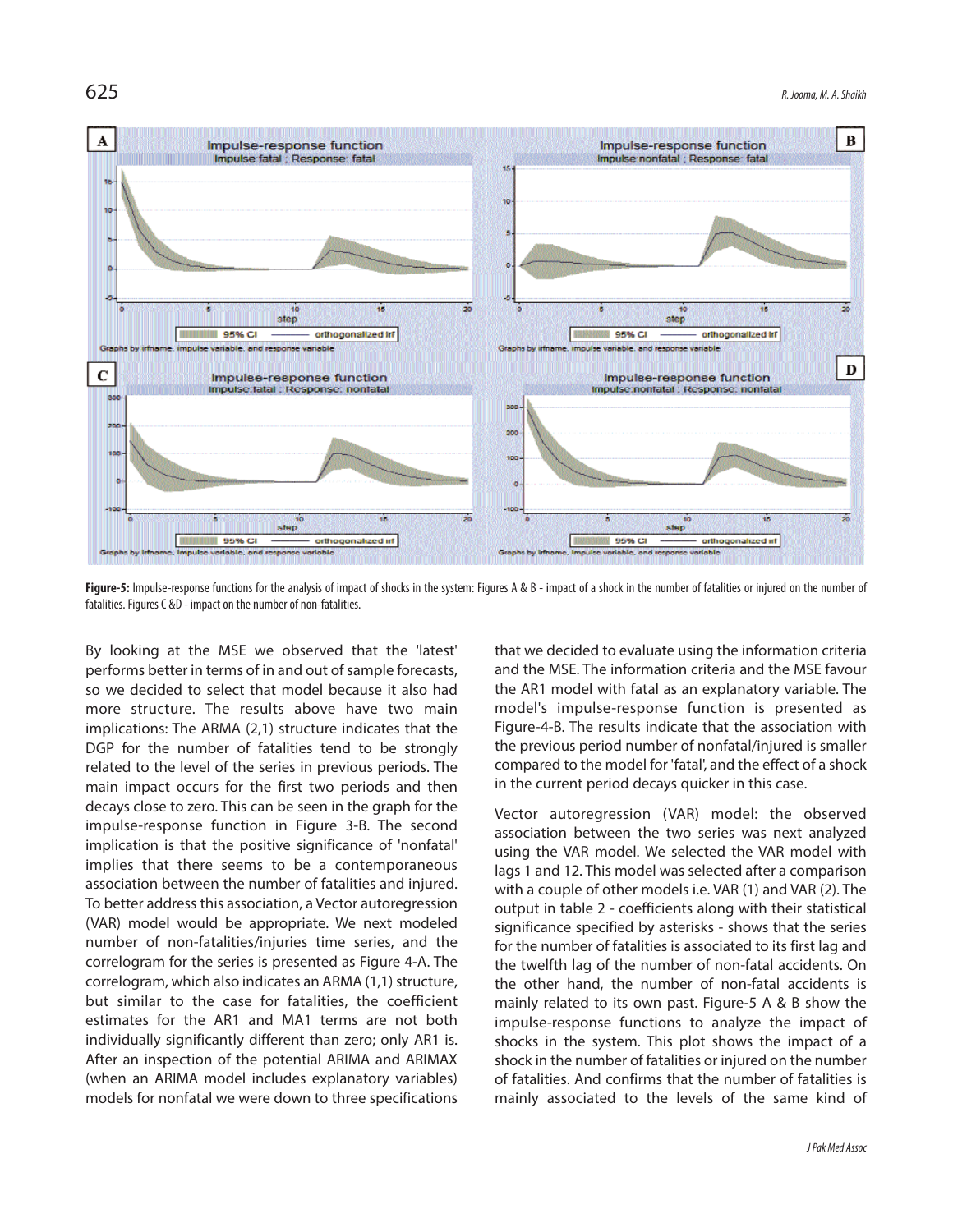

Figure-5: Impulse-response functions for the analysis of impact of shocks in the system: Figures A & B - impact of a shock in the number of fatalities or injured on the number of fatalities. Figures C &D - impact on the number of non-fatalities.

By looking at the MSE we observed that the 'latest' performs better in terms of in and out of sample forecasts, so we decided to select that model because it also had more structure. The results above have two main implications: The ARMA (2,1) structure indicates that the DGP for the number of fatalities tend to be strongly related to the level of the series in previous periods. The main impact occurs for the first two periods and then decays close to zero. This can be seen in the graph for the impulse-response function in Figure 3-B. The second implication is that the positive significance of 'nonfatal' implies that there seems to be a contemporaneous association between the number of fatalities and injured. To better address this association, a Vector autoregression (VAR) model would be appropriate. We next modeled number of non-fatalities/injuries time series, and the correlogram for the series is presented as Figure 4-A. The correlogram, which also indicates an ARMA (1,1) structure, but similar to the case for fatalities, the coefficient estimates for the AR1 and MA1 terms are not both individually significantly different than zero; only AR1 is. After an inspection of the potential ARIMA and ARIMAX (when an ARIMA model includes explanatory variables) models for nonfatal we were down to three specifications that we decided to evaluate using the information criteria and the MSE. The information criteria and the MSE favour the AR1 model with fatal as an explanatory variable. The model's impulse-response function is presented as Figure-4-B. The results indicate that the association with the previous period number of nonfatal/injured is smaller compared to the model for 'fatal', and the effect of a shock in the current period decays quicker in this case.

Vector autoregression (VAR) model: the observed association between the two series was next analyzed using the VAR model. We selected the VAR model with lags 1 and 12. This model was selected after a comparison with a couple of other models i.e. VAR (1) and VAR (2). The output in table 2 - coefficients along with their statistical significance specified by asterisks - shows that the series for the number of fatalities is associated to its first lag and the twelfth lag of the number of non-fatal accidents. On the other hand, the number of non-fatal accidents is mainly related to its own past. Figure-5 A & B show the impulse-response functions to analyze the impact of shocks in the system. This plot shows the impact of a shock in the number of fatalities or injured on the number of fatalities. And confirms that the number of fatalities is mainly associated to the levels of the same kind of